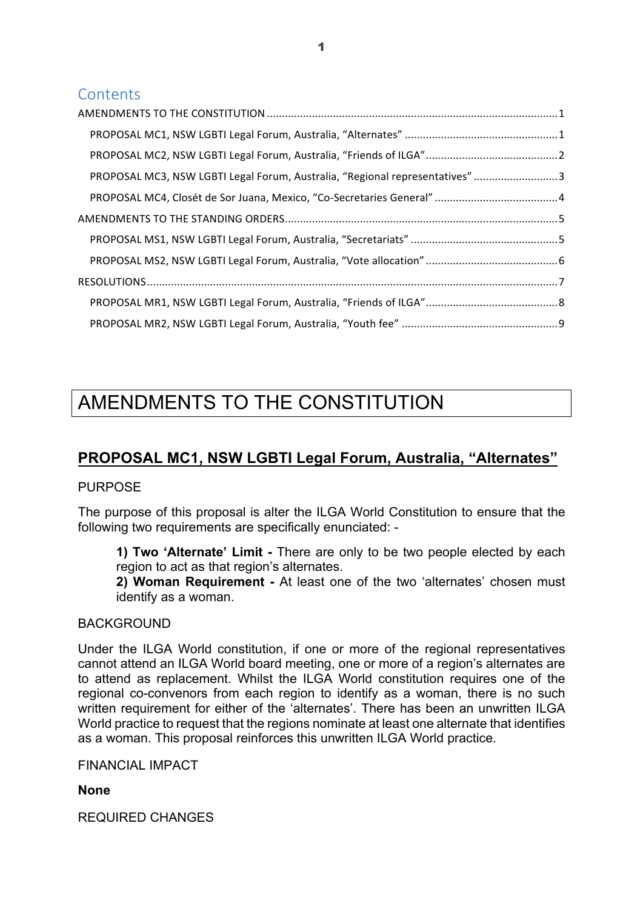# **Contents**

| PROPOSAL MC3, NSW LGBTI Legal Forum, Australia, "Regional representatives" 3 |  |
|------------------------------------------------------------------------------|--|
|                                                                              |  |
|                                                                              |  |
|                                                                              |  |
|                                                                              |  |
|                                                                              |  |
|                                                                              |  |
|                                                                              |  |

# AMENDMENTS TO THE CONSTITUTION

# **PROPOSAL MC1, NSW LGBTI Legal Forum, Australia, "Alternates"**

# PURPOSE

The purpose of this proposal is alter the ILGA World Constitution to ensure that the following two requirements are specifically enunciated: -

**1) Two 'Alternate' Limit -** There are only to be two people elected by each region to act as that region's alternates.

**2) Woman Requirement -** At least one of the two 'alternates' chosen must identify as a woman.

# **BACKGROUND**

Under the ILGA World constitution, if one or more of the regional representatives cannot attend an ILGA World board meeting, one or more of a region's alternates are to attend as replacement. Whilst the ILGA World constitution requires one of the regional co-convenors from each region to identify as a woman, there is no such written requirement for either of the 'alternates'. There has been an unwritten ILGA World practice to request that the regions nominate at least one alternate that identifies as a woman. This proposal reinforces this unwritten ILGA World practice.

FINANCIAL IMPACT

**None** 

REQUIRED CHANGES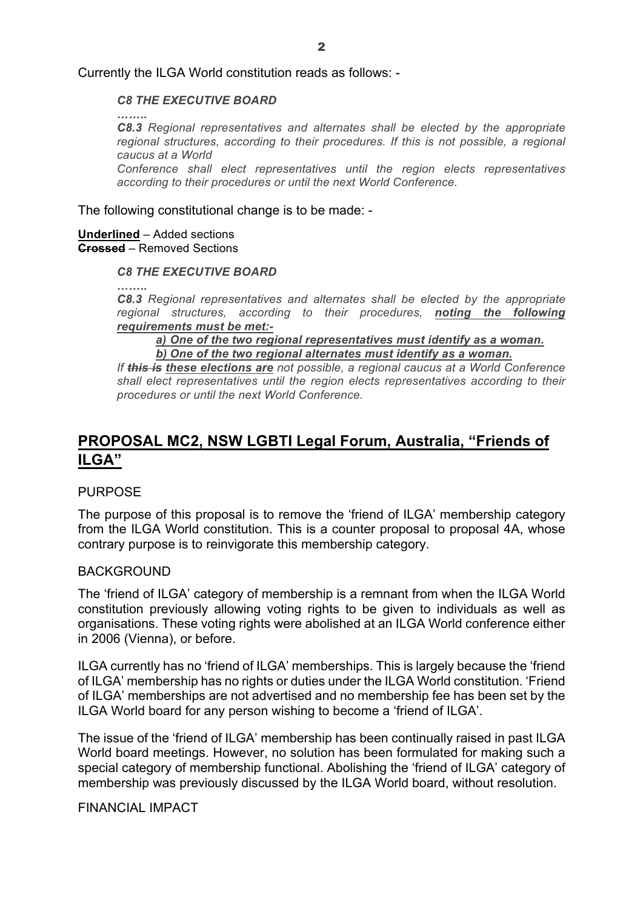### *C8 THE EXECUTIVE BOARD*

*……..*

*C8.3 Regional representatives and alternates shall be elected by the appropriate regional structures, according to their procedures. If this is not possible, a regional caucus at a World*

*Conference shall elect representatives until the region elects representatives according to their procedures or until the next World Conference.*

The following constitutional change is to be made: -

### **Underlined** – Added sections **Crossed** – Removed Sections

#### *C8 THE EXECUTIVE BOARD*

*……..*

*C8.3 Regional representatives and alternates shall be elected by the appropriate regional structures, according to their procedures, noting the following requirements must be met:-*

*a) One of the two regional representatives must identify as a woman. b) One of the two regional alternates must identify as a woman.* 

*If this is these elections are not possible, a regional caucus at a World Conference shall elect representatives until the region elects representatives according to their procedures or until the next World Conference.*

# **PROPOSAL MC2, NSW LGBTI Legal Forum, Australia, "Friends of ILGA"**

### PURPOSE

The purpose of this proposal is to remove the 'friend of ILGA' membership category from the ILGA World constitution. This is a counter proposal to proposal 4A, whose contrary purpose is to reinvigorate this membership category.

### BACKGROUND

The 'friend of ILGA' category of membership is a remnant from when the ILGA World constitution previously allowing voting rights to be given to individuals as well as organisations. These voting rights were abolished at an ILGA World conference either in 2006 (Vienna), or before.

ILGA currently has no 'friend of ILGA' memberships. This is largely because the 'friend of ILGA' membership has no rights or duties under the ILGA World constitution. 'Friend of ILGA' memberships are not advertised and no membership fee has been set by the ILGA World board for any person wishing to become a 'friend of ILGA'.

The issue of the 'friend of ILGA' membership has been continually raised in past ILGA World board meetings. However, no solution has been formulated for making such a special category of membership functional. Abolishing the 'friend of ILGA' category of membership was previously discussed by the ILGA World board, without resolution.

FINANCIAL IMPACT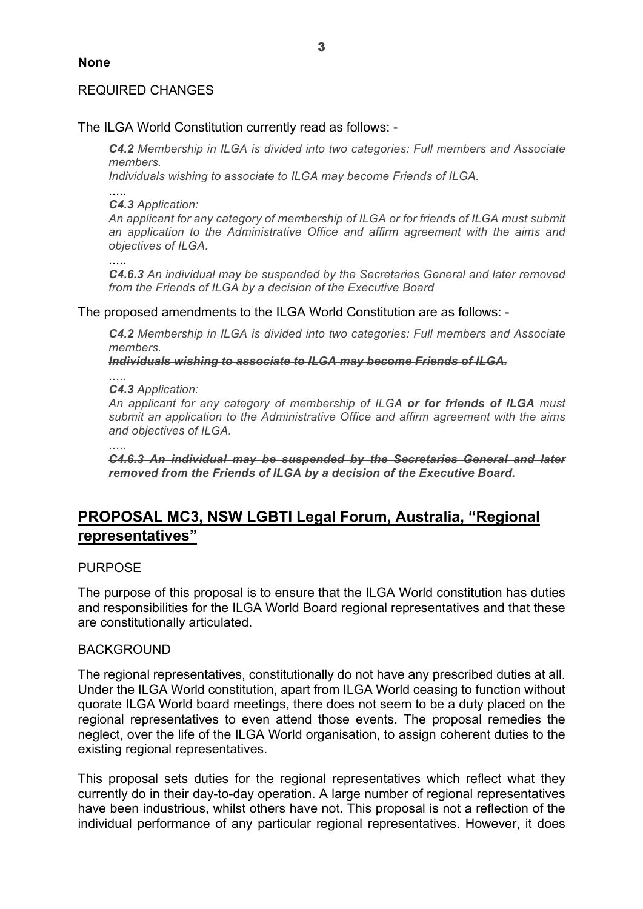## REQUIRED CHANGES

### The ILGA World Constitution currently read as follows: -

*C4.2 Membership in ILGA is divided into two categories: Full members and Associate members.*

*Individuals wishing to associate to ILGA may become Friends of ILGA.*

..... *C4.3 Application:*

*An applicant for any category of membership of ILGA or for friends of ILGA must submit an application to the Administrative Office and affirm agreement with the aims and objectives of ILGA.*

*C4.6.3 An individual may be suspended by the Secretaries General and later removed from the Friends of ILGA by a decision of the Executive Board*

#### The proposed amendments to the ILGA World Constitution are as follows: -

*C4.2 Membership in ILGA is divided into two categories: Full members and Associate members.*

*Individuals wishing to associate to ILGA may become Friends of ILGA.*

#### ..... *C4.3 Application:*

*An applicant for any category of membership of ILGA or for friends of ILGA must submit an application to the Administrative Office and affirm agreement with the aims and objectives of ILGA.*

.....

.....

*C4.6.3 An individual may be suspended by the Secretaries General and later removed from the Friends of ILGA by a decision of the Executive Board.*

# **PROPOSAL MC3, NSW LGBTI Legal Forum, Australia, "Regional representatives"**

### PURPOSE

The purpose of this proposal is to ensure that the ILGA World constitution has duties and responsibilities for the ILGA World Board regional representatives and that these are constitutionally articulated.

### **BACKGROUND**

The regional representatives, constitutionally do not have any prescribed duties at all. Under the ILGA World constitution, apart from ILGA World ceasing to function without quorate ILGA World board meetings, there does not seem to be a duty placed on the regional representatives to even attend those events. The proposal remedies the neglect, over the life of the ILGA World organisation, to assign coherent duties to the existing regional representatives.

This proposal sets duties for the regional representatives which reflect what they currently do in their day-to-day operation. A large number of regional representatives have been industrious, whilst others have not. This proposal is not a reflection of the individual performance of any particular regional representatives. However, it does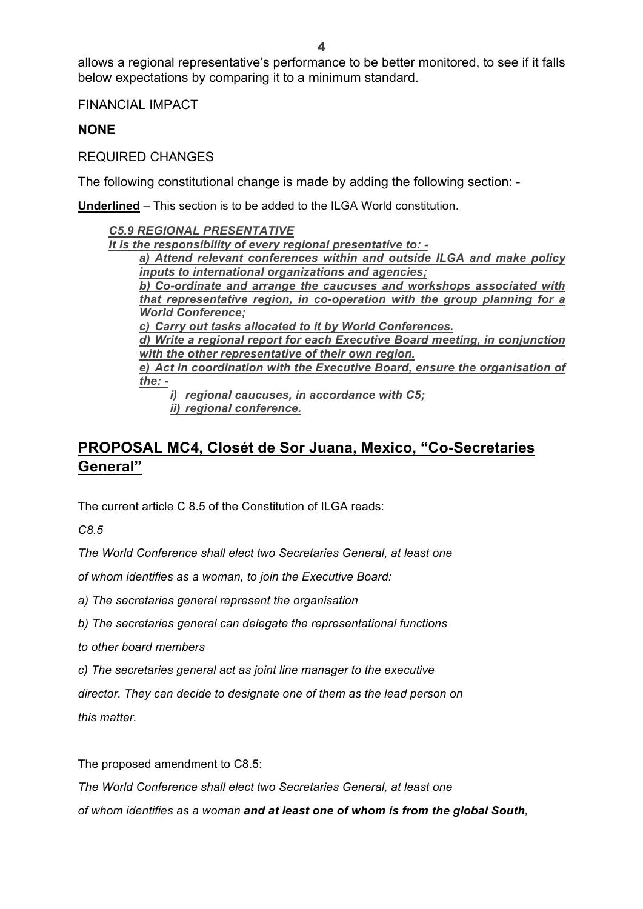allows a regional representative's performance to be better monitored, to see if it falls below expectations by comparing it to a minimum standard.

FINANCIAL IMPACT

# **NONE**

REQUIRED CHANGES

The following constitutional change is made by adding the following section: -

**Underlined** – This section is to be added to the ILGA World constitution.

*C5.9 REGIONAL PRESENTATIVE It is the responsibility of every regional presentative to: a) Attend relevant conferences within and outside ILGA and make policy inputs to international organizations and agencies; b) Co-ordinate and arrange the caucuses and workshops associated with that representative region, in co-operation with the group planning for a World Conference; c) Carry out tasks allocated to it by World Conferences. d) Write a regional report for each Executive Board meeting, in conjunction with the other representative of their own region. e) Act in coordination with the Executive Board, ensure the organisation of the: i) regional caucuses, in accordance with C5; ii) regional conference.*

# **PROPOSAL MC4, Closét de Sor Juana, Mexico, "Co-Secretaries General"**

The current article C 8.5 of the Constitution of ILGA reads:

*C8.5*

*The World Conference shall elect two Secretaries General, at least one*

*of whom identifies as a woman, to join the Executive Board:*

*a) The secretaries general represent the organisation*

*b) The secretaries general can delegate the representational functions*

*to other board members*

*c) The secretaries general act as joint line manager to the executive*

*director. They can decide to designate one of them as the lead person on*

*this matter.*

The proposed amendment to C8.5:

*The World Conference shall elect two Secretaries General, at least one*

*of whom identifies as a woman and at least one of whom is from the global South,*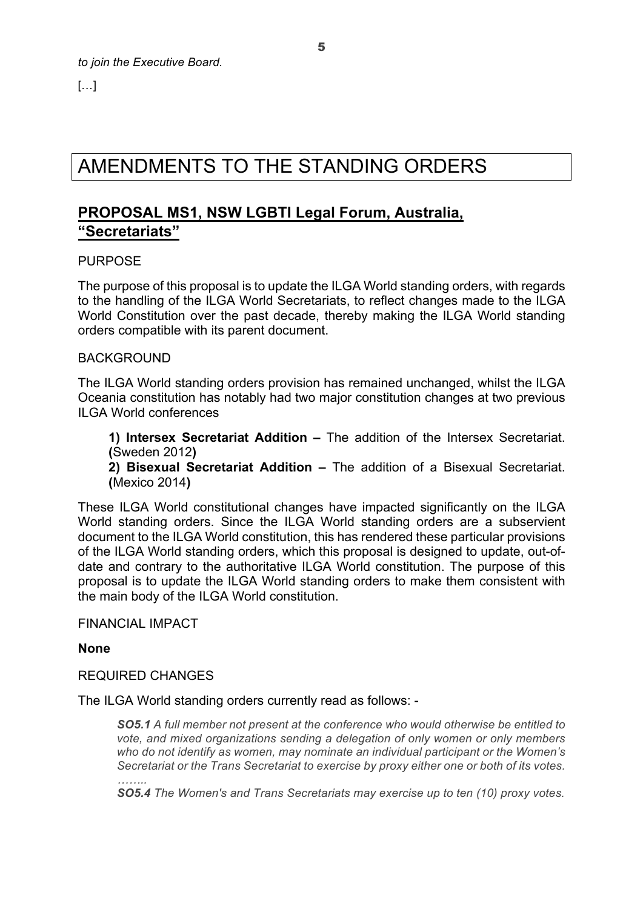# AMENDMENTS TO THE STANDING ORDERS

# **PROPOSAL MS1, NSW LGBTI Legal Forum, Australia, "Secretariats"**

# **PURPOSE**

The purpose of this proposal is to update the ILGA World standing orders, with regards to the handling of the ILGA World Secretariats, to reflect changes made to the ILGA World Constitution over the past decade, thereby making the ILGA World standing orders compatible with its parent document.

## **BACKGROUND**

The ILGA World standing orders provision has remained unchanged, whilst the ILGA Oceania constitution has notably had two major constitution changes at two previous ILGA World conferences

**1) Intersex Secretariat Addition –** The addition of the Intersex Secretariat. **(**Sweden 2012**)**

**2) Bisexual Secretariat Addition –** The addition of a Bisexual Secretariat. **(**Mexico 2014**)**

These ILGA World constitutional changes have impacted significantly on the ILGA World standing orders. Since the ILGA World standing orders are a subservient document to the ILGA World constitution, this has rendered these particular provisions of the ILGA World standing orders, which this proposal is designed to update, out-ofdate and contrary to the authoritative ILGA World constitution. The purpose of this proposal is to update the ILGA World standing orders to make them consistent with the main body of the ILGA World constitution.

FINANCIAL IMPACT

**None** 

REQUIRED CHANGES

The ILGA World standing orders currently read as follows: -

*SO5.1 A full member not present at the conference who would otherwise be entitled to vote, and mixed organizations sending a delegation of only women or only members who do not identify as women, may nominate an individual participant or the Women's Secretariat or the Trans Secretariat to exercise by proxy either one or both of its votes. ……..*

*SO5.4 The Women's and Trans Secretariats may exercise up to ten (10) proxy votes.*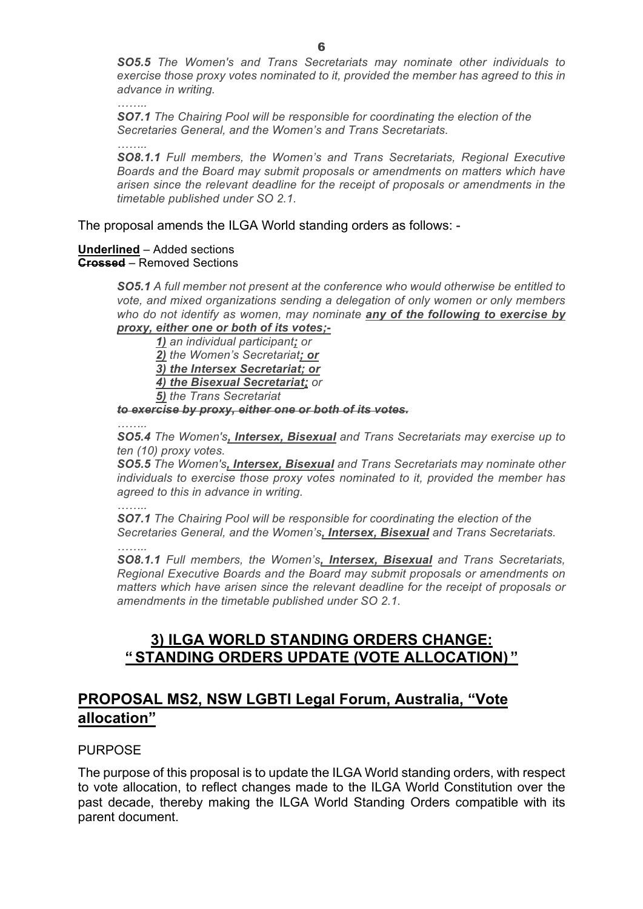*SO5.5 The Women's and Trans Secretariats may nominate other individuals to exercise those proxy votes nominated to it, provided the member has agreed to this in advance in writing.*

*……..*

*SO7.1 The Chairing Pool will be responsible for coordinating the election of the Secretaries General, and the Women's and Trans Secretariats.*

*……..*

*SO8.1.1 Full members, the Women's and Trans Secretariats, Regional Executive Boards and the Board may submit proposals or amendments on matters which have arisen since the relevant deadline for the receipt of proposals or amendments in the timetable published under SO 2.1.*

The proposal amends the ILGA World standing orders as follows: -

### **Underlined** – Added sections **Crossed** – Removed Sections

*SO5.1 A full member not present at the conference who would otherwise be entitled to vote, and mixed organizations sending a delegation of only women or only members who do not identify as women, may nominate any of the following to exercise by proxy, either one or both of its votes;-*

*1) an individual participant; or 2) the Women's Secretariat; or 3) the Intersex Secretariat; or 4) the Bisexual Secretariat; or 5) the Trans Secretariat* 

*to exercise by proxy, either one or both of its votes.*

*……..*

*SO5.4 The Women's, Intersex, Bisexual and Trans Secretariats may exercise up to ten (10) proxy votes.*

*SO5.5 The Women's, Intersex, Bisexual and Trans Secretariats may nominate other individuals to exercise those proxy votes nominated to it, provided the member has agreed to this in advance in writing.*

*……..*

*SO7.1 The Chairing Pool will be responsible for coordinating the election of the Secretaries General, and the Women's, Intersex, Bisexual and Trans Secretariats.*

*……..*

*SO8.1.1 Full members, the Women's, Intersex, Bisexual and Trans Secretariats, Regional Executive Boards and the Board may submit proposals or amendments on matters which have arisen since the relevant deadline for the receipt of proposals or amendments in the timetable published under SO 2.1.*

# **3) ILGA WORLD STANDING ORDERS CHANGE: "STANDING ORDERS UPDATE (VOTE ALLOCATION) "**

# **PROPOSAL MS2, NSW LGBTI Legal Forum, Australia, "Vote allocation"**

# PURPOSE

The purpose of this proposal is to update the ILGA World standing orders, with respect to vote allocation, to reflect changes made to the ILGA World Constitution over the past decade, thereby making the ILGA World Standing Orders compatible with its parent document.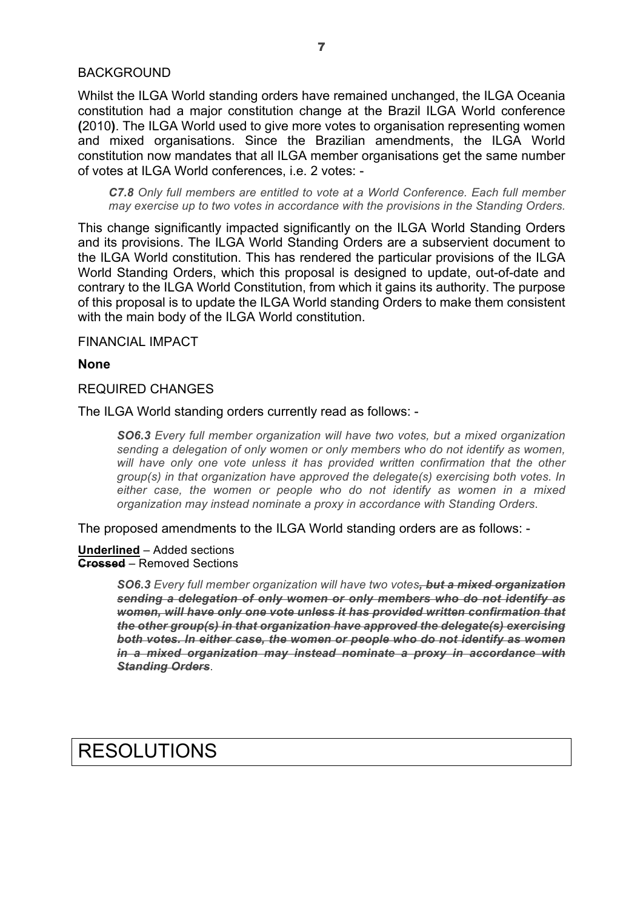#### **BACKGROUND**

Whilst the ILGA World standing orders have remained unchanged, the ILGA Oceania constitution had a major constitution change at the Brazil ILGA World conference **(**2010**)**. The ILGA World used to give more votes to organisation representing women and mixed organisations. Since the Brazilian amendments, the ILGA World constitution now mandates that all ILGA member organisations get the same number of votes at ILGA World conferences, i.e. 2 votes: -

*C7.8 Only full members are entitled to vote at a World Conference. Each full member may exercise up to two votes in accordance with the provisions in the Standing Orders.*

This change significantly impacted significantly on the ILGA World Standing Orders and its provisions. The ILGA World Standing Orders are a subservient document to the ILGA World constitution. This has rendered the particular provisions of the ILGA World Standing Orders, which this proposal is designed to update, out-of-date and contrary to the ILGA World Constitution, from which it gains its authority. The purpose of this proposal is to update the ILGA World standing Orders to make them consistent with the main body of the ILGA World constitution.

#### FINANCIAL IMPACT

#### **None**

#### REQUIRED CHANGES

The ILGA World standing orders currently read as follows: -

*SO6.3 Every full member organization will have two votes, but a mixed organization sending a delegation of only women or only members who do not identify as women,*  will have only one vote unless it has provided written confirmation that the other *group(s) in that organization have approved the delegate(s) exercising both votes. In either case, the women or people who do not identify as women in a mixed organization may instead nominate a proxy in accordance with Standing Orders*.

The proposed amendments to the ILGA World standing orders are as follows: -

**Underlined** – Added sections **Crossed** – Removed Sections

> *SO6.3 Every full member organization will have two votes, but a mixed organization sending a delegation of only women or only members who do not identify as women, will have only one vote unless it has provided written confirmation that the other group(s) in that organization have approved the delegate(s) exercising both votes. In either case, the women or people who do not identify as women in a mixed organization may instead nominate a proxy in accordance with Standing Orders*.

# RESOLUTIONS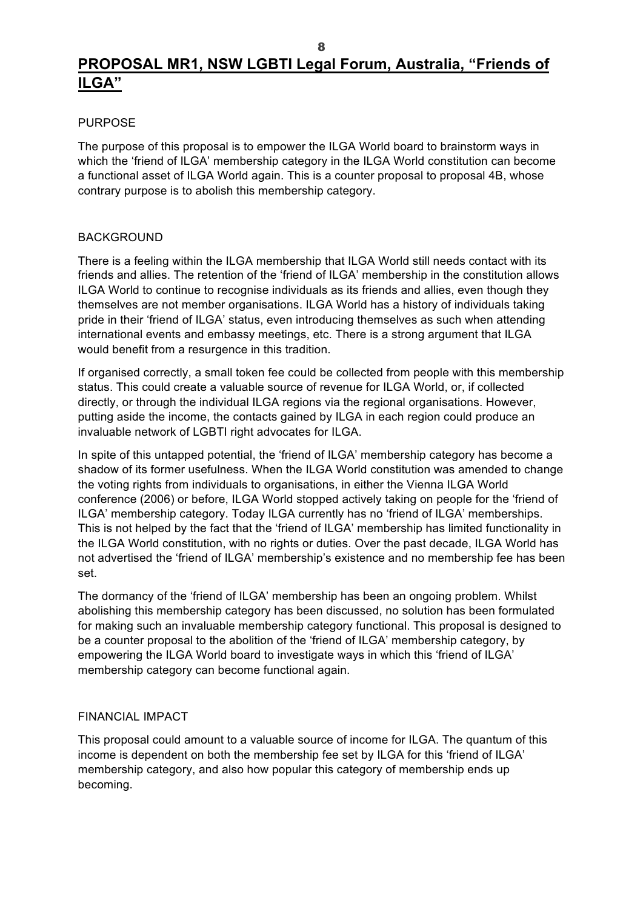# **PROPOSAL MR1, NSW LGBTI Legal Forum, Australia, "Friends of ILGA"**

## PURPOSE

The purpose of this proposal is to empower the ILGA World board to brainstorm ways in which the 'friend of ILGA' membership category in the ILGA World constitution can become a functional asset of ILGA World again. This is a counter proposal to proposal 4B, whose contrary purpose is to abolish this membership category.

## **BACKGROUND**

There is a feeling within the ILGA membership that ILGA World still needs contact with its friends and allies. The retention of the 'friend of ILGA' membership in the constitution allows ILGA World to continue to recognise individuals as its friends and allies, even though they themselves are not member organisations. ILGA World has a history of individuals taking pride in their 'friend of ILGA' status, even introducing themselves as such when attending international events and embassy meetings, etc. There is a strong argument that ILGA would benefit from a resurgence in this tradition.

If organised correctly, a small token fee could be collected from people with this membership status. This could create a valuable source of revenue for ILGA World, or, if collected directly, or through the individual ILGA regions via the regional organisations. However, putting aside the income, the contacts gained by ILGA in each region could produce an invaluable network of LGBTI right advocates for ILGA.

In spite of this untapped potential, the 'friend of ILGA' membership category has become a shadow of its former usefulness. When the ILGA World constitution was amended to change the voting rights from individuals to organisations, in either the Vienna ILGA World conference (2006) or before, ILGA World stopped actively taking on people for the 'friend of ILGA' membership category. Today ILGA currently has no 'friend of ILGA' memberships. This is not helped by the fact that the 'friend of ILGA' membership has limited functionality in the ILGA World constitution, with no rights or duties. Over the past decade, ILGA World has not advertised the 'friend of ILGA' membership's existence and no membership fee has been set.

The dormancy of the 'friend of ILGA' membership has been an ongoing problem. Whilst abolishing this membership category has been discussed, no solution has been formulated for making such an invaluable membership category functional. This proposal is designed to be a counter proposal to the abolition of the 'friend of ILGA' membership category, by empowering the ILGA World board to investigate ways in which this 'friend of ILGA' membership category can become functional again.

### FINANCIAL IMPACT

This proposal could amount to a valuable source of income for ILGA. The quantum of this income is dependent on both the membership fee set by ILGA for this 'friend of ILGA' membership category, and also how popular this category of membership ends up becoming.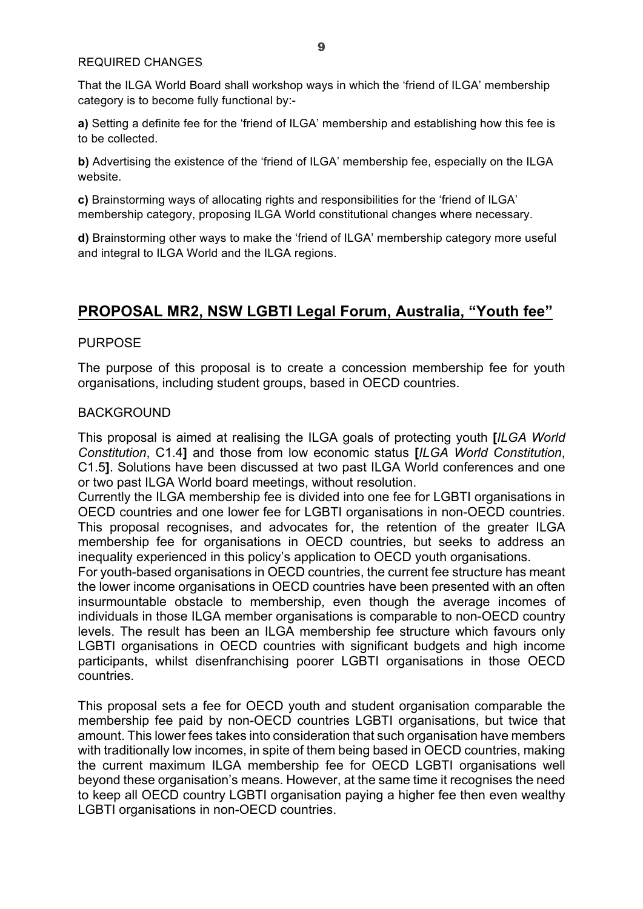#### REQUIRED CHANGES

That the ILGA World Board shall workshop ways in which the 'friend of ILGA' membership category is to become fully functional by:-

**a)** Setting a definite fee for the 'friend of ILGA' membership and establishing how this fee is to be collected.

**b**) Advertising the existence of the 'friend of ILGA' membership fee, especially on the ILGA website.

**c)** Brainstorming ways of allocating rights and responsibilities for the 'friend of ILGA' membership category, proposing ILGA World constitutional changes where necessary.

**d)** Brainstorming other ways to make the 'friend of ILGA' membership category more useful and integral to ILGA World and the ILGA regions.

# **PROPOSAL MR2, NSW LGBTI Legal Forum, Australia, "Youth fee"**

## PURPOSE

The purpose of this proposal is to create a concession membership fee for youth organisations, including student groups, based in OECD countries.

### **BACKGROUND**

This proposal is aimed at realising the ILGA goals of protecting youth **[***ILGA World Constitution*, C1.4**]** and those from low economic status **[***ILGA World Constitution*, C1.5**]**. Solutions have been discussed at two past ILGA World conferences and one or two past ILGA World board meetings, without resolution.

Currently the ILGA membership fee is divided into one fee for LGBTI organisations in OECD countries and one lower fee for LGBTI organisations in non-OECD countries. This proposal recognises, and advocates for, the retention of the greater ILGA membership fee for organisations in OECD countries, but seeks to address an inequality experienced in this policy's application to OECD youth organisations.

For youth-based organisations in OECD countries, the current fee structure has meant the lower income organisations in OECD countries have been presented with an often insurmountable obstacle to membership, even though the average incomes of individuals in those ILGA member organisations is comparable to non-OECD country levels. The result has been an ILGA membership fee structure which favours only LGBTI organisations in OECD countries with significant budgets and high income participants, whilst disenfranchising poorer LGBTI organisations in those OECD countries.

This proposal sets a fee for OECD youth and student organisation comparable the membership fee paid by non-OECD countries LGBTI organisations, but twice that amount. This lower fees takes into consideration that such organisation have members with traditionally low incomes, in spite of them being based in OECD countries, making the current maximum ILGA membership fee for OECD LGBTI organisations well beyond these organisation's means. However, at the same time it recognises the need to keep all OECD country LGBTI organisation paying a higher fee then even wealthy LGBTI organisations in non-OECD countries.